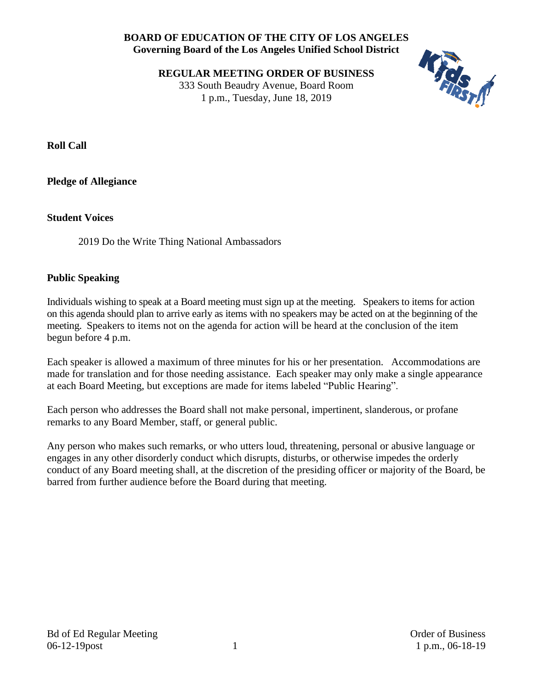## **BOARD OF EDUCATION OF THE CITY OF LOS ANGELES Governing Board of the Los Angeles Unified School District**

**REGULAR MEETING ORDER OF BUSINESS** 333 South Beaudry Avenue, Board Room 1 p.m., Tuesday, June 18, 2019



**Roll Call**

**Pledge of Allegiance**

#### **Student Voices**

2019 Do the Write Thing National Ambassadors

### **Public Speaking**

Individuals wishing to speak at a Board meeting must sign up at the meeting. Speakers to items for action on this agenda should plan to arrive early as items with no speakers may be acted on at the beginning of the meeting. Speakers to items not on the agenda for action will be heard at the conclusion of the item begun before 4 p.m.

Each speaker is allowed a maximum of three minutes for his or her presentation. Accommodations are made for translation and for those needing assistance. Each speaker may only make a single appearance at each Board Meeting, but exceptions are made for items labeled "Public Hearing".

Each person who addresses the Board shall not make personal, impertinent, slanderous, or profane remarks to any Board Member, staff, or general public.

Any person who makes such remarks, or who utters loud, threatening, personal or abusive language or engages in any other disorderly conduct which disrupts, disturbs, or otherwise impedes the orderly conduct of any Board meeting shall, at the discretion of the presiding officer or majority of the Board, be barred from further audience before the Board during that meeting.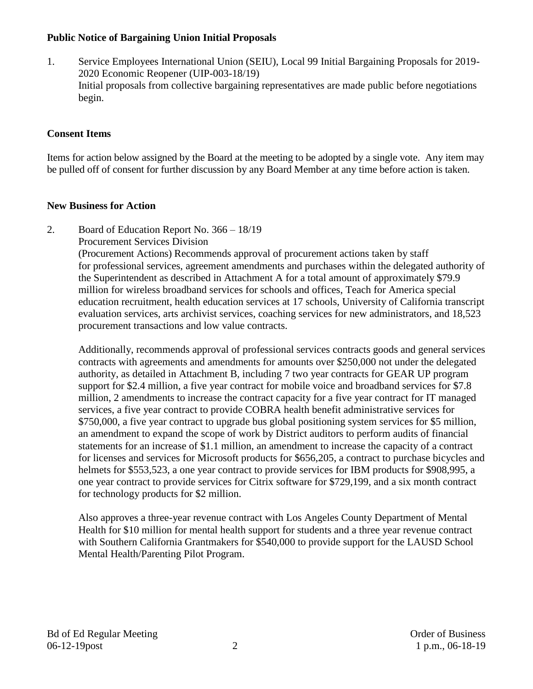### **Public Notice of Bargaining Union Initial Proposals**

1. Service Employees International Union (SEIU), Local 99 Initial Bargaining Proposals for 2019- 2020 Economic Reopener (UIP-003-18/19) Initial proposals from collective bargaining representatives are made public before negotiations begin.

## **Consent Items**

Items for action below assigned by the Board at the meeting to be adopted by a single vote. Any item may be pulled off of consent for further discussion by any Board Member at any time before action is taken.

### **New Business for Action**

- 2. Board of Education Report No. 366 18/19
	- Procurement Services Division

(Procurement Actions) Recommends approval of procurement actions taken by staff for professional services, agreement amendments and purchases within the delegated authority of the Superintendent as described in Attachment A for a total amount of approximately \$79.9 million for wireless broadband services for schools and offices, Teach for America special education recruitment, health education services at 17 schools, University of California transcript evaluation services, arts archivist services, coaching services for new administrators, and 18,523 procurement transactions and low value contracts.

Additionally, recommends approval of professional services contracts goods and general services contracts with agreements and amendments for amounts over \$250,000 not under the delegated authority, as detailed in Attachment B, including 7 two year contracts for GEAR UP program support for \$2.4 million, a five year contract for mobile voice and broadband services for \$7.8 million, 2 amendments to increase the contract capacity for a five year contract for IT managed services, a five year contract to provide COBRA health benefit administrative services for \$750,000, a five year contract to upgrade bus global positioning system services for \$5 million, an amendment to expand the scope of work by District auditors to perform audits of financial statements for an increase of \$1.1 million, an amendment to increase the capacity of a contract for licenses and services for Microsoft products for \$656,205, a contract to purchase bicycles and helmets for \$553,523, a one year contract to provide services for IBM products for \$908,995, a one year contract to provide services for Citrix software for \$729,199, and a six month contract for technology products for \$2 million.

Also approves a three-year revenue contract with Los Angeles County Department of Mental Health for \$10 million for mental health support for students and a three year revenue contract with Southern California Grantmakers for \$540,000 to provide support for the LAUSD School Mental Health/Parenting Pilot Program.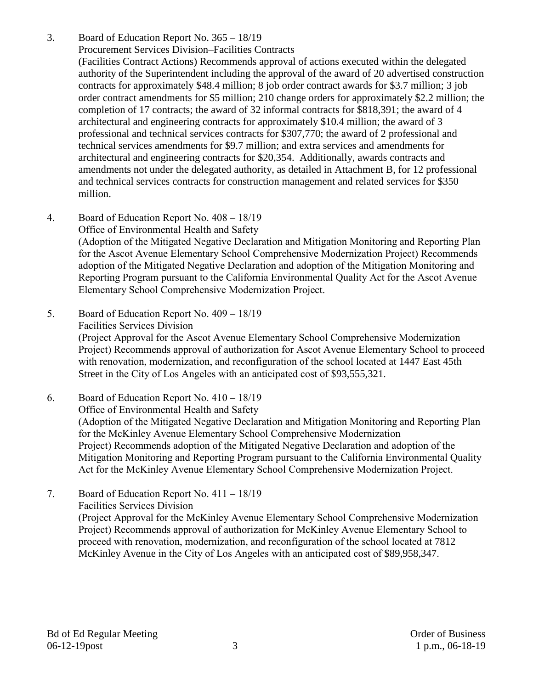- 3. Board of Education Report No. 365 18/19 Procurement Services Division–Facilities Contracts (Facilities Contract Actions) Recommends approval of actions executed within the delegated authority of the Superintendent including the approval of the award of 20 advertised construction contracts for approximately \$48.4 million; 8 job order contract awards for \$3.7 million; 3 job order contract amendments for \$5 million; 210 change orders for approximately \$2.2 million; the completion of 17 contracts; the award of 32 informal contracts for \$818,391; the award of 4 architectural and engineering contracts for approximately \$10.4 million; the award of 3 professional and technical services contracts for \$307,770; the award of 2 professional and technical services amendments for \$9.7 million; and extra services and amendments for architectural and engineering contracts for \$20,354. Additionally, awards contracts and amendments not under the delegated authority, as detailed in Attachment B, for 12 professional and technical services contracts for construction management and related services for \$350 million.
- 4. Board of Education Report No. 408 18/19 Office of Environmental Health and Safety (Adoption of the Mitigated Negative Declaration and Mitigation Monitoring and Reporting Plan for the Ascot Avenue Elementary School Comprehensive Modernization Project) Recommends adoption of the Mitigated Negative Declaration and adoption of the Mitigation Monitoring and Reporting Program pursuant to the California Environmental Quality Act for the Ascot Avenue Elementary School Comprehensive Modernization Project.
- 5. Board of Education Report No. 409 18/19 Facilities Services Division (Project Approval for the Ascot Avenue Elementary School Comprehensive Modernization Project) Recommends approval of authorization for Ascot Avenue Elementary School to proceed with renovation, modernization, and reconfiguration of the school located at 1447 East 45th Street in the City of Los Angeles with an anticipated cost of \$93,555,321.
- 6. Board of Education Report No. 410 18/19 Office of Environmental Health and Safety (Adoption of the Mitigated Negative Declaration and Mitigation Monitoring and Reporting Plan for the McKinley Avenue Elementary School Comprehensive Modernization Project) Recommends adoption of the Mitigated Negative Declaration and adoption of the Mitigation Monitoring and Reporting Program pursuant to the California Environmental Quality Act for the McKinley Avenue Elementary School Comprehensive Modernization Project.
- 7. Board of Education Report No. 411 18/19 Facilities Services Division (Project Approval for the McKinley Avenue Elementary School Comprehensive Modernization Project) Recommends approval of authorization for McKinley Avenue Elementary School to proceed with renovation, modernization, and reconfiguration of the school located at 7812 McKinley Avenue in the City of Los Angeles with an anticipated cost of \$89,958,347.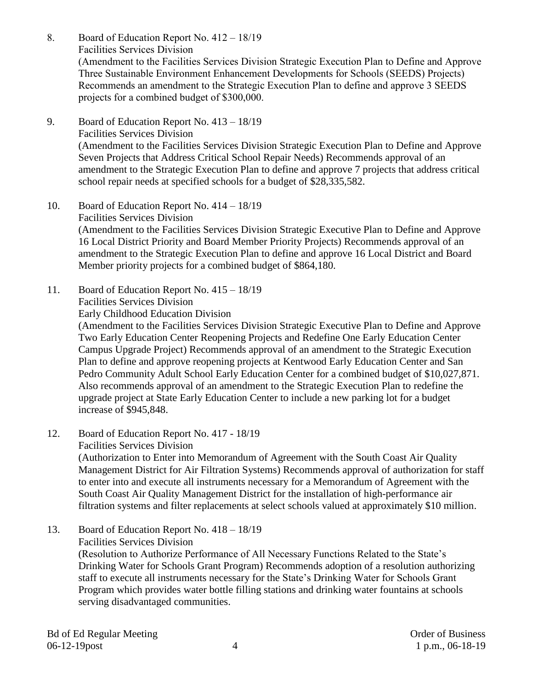- 8. Board of Education Report No. 412 18/19 Facilities Services Division (Amendment to the Facilities Services Division Strategic Execution Plan to Define and Approve Three Sustainable Environment Enhancement Developments for Schools (SEEDS) Projects) Recommends an amendment to the Strategic Execution Plan to define and approve 3 SEEDS projects for a combined budget of \$300,000.
- 9. Board of Education Report No. 413 18/19 Facilities Services Division (Amendment to the Facilities Services Division Strategic Execution Plan to Define and Approve Seven Projects that Address Critical School Repair Needs) Recommends approval of an amendment to the Strategic Execution Plan to define and approve 7 projects that address critical school repair needs at specified schools for a budget of \$28,335,582.
- 10. Board of Education Report No. 414 18/19 Facilities Services Division (Amendment to the Facilities Services Division Strategic Executive Plan to Define and Approve 16 Local District Priority and Board Member Priority Projects) Recommends approval of an amendment to the Strategic Execution Plan to define and approve 16 Local District and Board Member priority projects for a combined budget of \$864,180.
- 11. Board of Education Report No. 415 18/19
	- Facilities Services Division

Early Childhood Education Division

(Amendment to the Facilities Services Division Strategic Executive Plan to Define and Approve Two Early Education Center Reopening Projects and Redefine One Early Education Center Campus Upgrade Project) Recommends approval of an amendment to the Strategic Execution Plan to define and approve reopening projects at Kentwood Early Education Center and San Pedro Community Adult School Early Education Center for a combined budget of \$10,027,871. Also recommends approval of an amendment to the Strategic Execution Plan to redefine the upgrade project at State Early Education Center to include a new parking lot for a budget increase of \$945,848.

12. Board of Education Report No. 417 - 18/19

Facilities Services Division

(Authorization to Enter into Memorandum of Agreement with the South Coast Air Quality Management District for Air Filtration Systems) Recommends approval of authorization for staff to enter into and execute all instruments necessary for a Memorandum of Agreement with the South Coast Air Quality Management District for the installation of high-performance air filtration systems and filter replacements at select schools valued at approximately \$10 million.

13. Board of Education Report No. 418 – 18/19 Facilities Services Division (Resolution to Authorize Performance of All Necessary Functions Related to the State's Drinking Water for Schools Grant Program) Recommends adoption of a resolution authorizing staff to execute all instruments necessary for the State's Drinking Water for Schools Grant Program which provides water bottle filling stations and drinking water fountains at schools serving disadvantaged communities.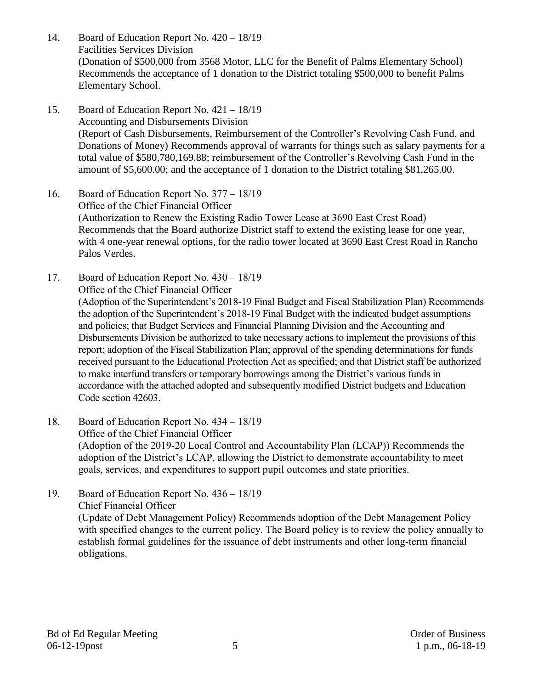- 14. Board of Education Report No. 420 18/19 Facilities Services Division (Donation of \$500,000 from 3568 Motor, LLC for the Benefit of Palms Elementary School) Recommends the acceptance of 1 donation to the District totaling \$500,000 to benefit Palms Elementary School.
- 15. Board of Education Report No. 421 18/19 Accounting and Disbursements Division (Report of Cash Disbursements, Reimbursement of the Controller's Revolving Cash Fund, and Donations of Money) Recommends approval of warrants for things such as salary payments for a total value of \$580,780,169.88; reimbursement of the Controller's Revolving Cash Fund in the amount of \$5,600.00; and the acceptance of 1 donation to the District totaling \$81,265.00.
- 16. Board of Education Report No. 377 18/19 Office of the Chief Financial Officer (Authorization to Renew the Existing Radio Tower Lease at 3690 East Crest Road) Recommends that the Board authorize District staff to extend the existing lease for one year, with 4 one-year renewal options, for the radio tower located at 3690 East Crest Road in Rancho Palos Verdes.
- 17. Board of Education Report No. 430 18/19 Office of the Chief Financial Officer (Adoption of the Superintendent's 2018-19 Final Budget and Fiscal Stabilization Plan) Recommends the adoption of the Superintendent's 2018-19 Final Budget with the indicated budget assumptions and policies; that Budget Services and Financial Planning Division and the Accounting and Disbursements Division be authorized to take necessary actions to implement the provisions of this report; adoption of the Fiscal Stabilization Plan; approval of the spending determinations for funds received pursuant to the Educational Protection Act as specified; and that District staff be authorized to make interfund transfers or temporary borrowings among the District's various funds in accordance with the attached adopted and subsequently modified District budgets and Education Code section 42603.
- 18. Board of Education Report No. 434 18/19 Office of the Chief Financial Officer (Adoption of the 2019-20 Local Control and Accountability Plan (LCAP)) Recommends the adoption of the District's LCAP, allowing the District to demonstrate accountability to meet goals, services, and expenditures to support pupil outcomes and state priorities.
- 19. Board of Education Report No. 436 18/19 Chief Financial Officer (Update of Debt Management Policy) Recommends adoption of the Debt Management Policy with specified changes to the current policy. The Board policy is to review the policy annually to establish formal guidelines for the issuance of debt instruments and other long-term financial obligations.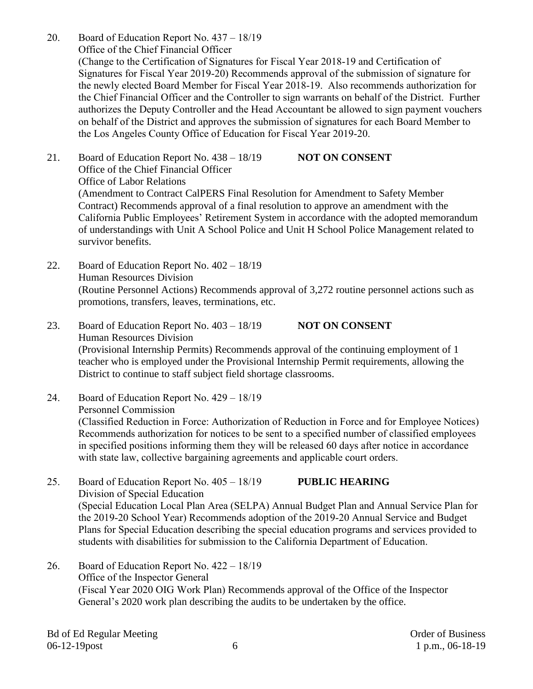- 20. Board of Education Report No. 437 18/19 Office of the Chief Financial Officer (Change to the Certification of Signatures for Fiscal Year 2018-19 and Certification of Signatures for Fiscal Year 2019-20) Recommends approval of the submission of signature for the newly elected Board Member for Fiscal Year 2018-19. Also recommends authorization for the Chief Financial Officer and the Controller to sign warrants on behalf of the District. Further authorizes the Deputy Controller and the Head Accountant be allowed to sign payment vouchers on behalf of the District and approves the submission of signatures for each Board Member to the Los Angeles County Office of Education for Fiscal Year 2019-20.
- 21. Board of Education Report No. 438 18/19 **NOT ON CONSENT** Office of the Chief Financial Officer Office of Labor Relations (Amendment to Contract CalPERS Final Resolution for Amendment to Safety Member Contract) Recommends approval of a final resolution to approve an amendment with the California Public Employees' Retirement System in accordance with the adopted memorandum of understandings with Unit A School Police and Unit H School Police Management related to survivor benefits.
- 22. Board of Education Report No. 402 18/19 Human Resources Division (Routine Personnel Actions) Recommends approval of 3,272 routine personnel actions such as promotions, transfers, leaves, terminations, etc.
- 23. Board of Education Report No.  $403 18/19$  **NOT ON CONSENT** Human Resources Division (Provisional Internship Permits) Recommends approval of the continuing employment of 1 teacher who is employed under the Provisional Internship Permit requirements, allowing the District to continue to staff subject field shortage classrooms.
- 24. Board of Education Report No. 429 18/19 Personnel Commission (Classified Reduction in Force: Authorization of Reduction in Force and for Employee Notices) Recommends authorization for notices to be sent to a specified number of classified employees in specified positions informing them they will be released 60 days after notice in accordance with state law, collective bargaining agreements and applicable court orders.
- 25. Board of Education Report No. 405 18/19 **PUBLIC HEARING** Division of Special Education (Special Education Local Plan Area (SELPA) Annual Budget Plan and Annual Service Plan for the 2019-20 School Year) Recommends adoption of the 2019-20 Annual Service and Budget Plans for Special Education describing the special education programs and services provided to students with disabilities for submission to the California Department of Education.
- 26. Board of Education Report No. 422 18/19 Office of the Inspector General (Fiscal Year 2020 OIG Work Plan) Recommends approval of the Office of the Inspector General's 2020 work plan describing the audits to be undertaken by the office.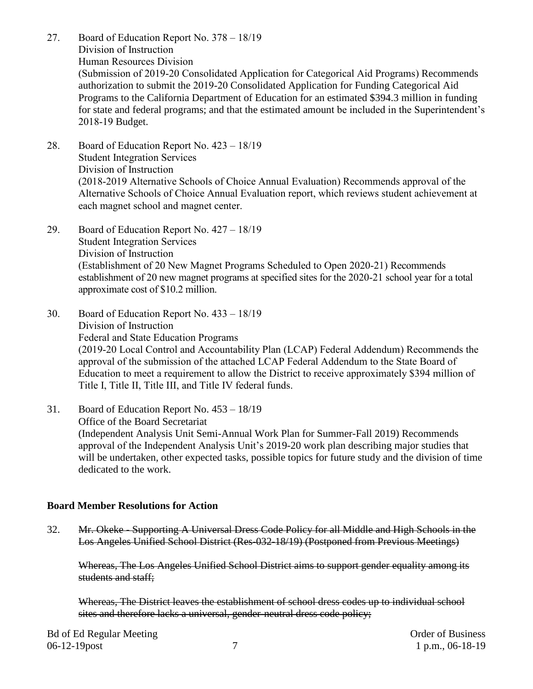- 27. Board of Education Report No. 378 18/19 Division of Instruction Human Resources Division (Submission of 2019-20 Consolidated Application for Categorical Aid Programs) Recommends authorization to submit the 2019-20 Consolidated Application for Funding Categorical Aid Programs to the California Department of Education for an estimated \$394.3 million in funding for state and federal programs; and that the estimated amount be included in the Superintendent's 2018-19 Budget.
- 28. Board of Education Report No. 423 18/19 Student Integration Services Division of Instruction (2018-2019 Alternative Schools of Choice Annual Evaluation) Recommends approval of the Alternative Schools of Choice Annual Evaluation report, which reviews student achievement at each magnet school and magnet center.
- 29. Board of Education Report No. 427 18/19 Student Integration Services Division of Instruction (Establishment of 20 New Magnet Programs Scheduled to Open 2020-21) Recommends establishment of 20 new magnet programs at specified sites for the 2020-21 school year for a total approximate cost of \$10.2 million.
- 30. Board of Education Report No. 433 18/19 Division of Instruction Federal and State Education Programs (2019-20 Local Control and Accountability Plan (LCAP) Federal Addendum) Recommends the approval of the submission of the attached LCAP Federal Addendum to the State Board of Education to meet a requirement to allow the District to receive approximately \$394 million of Title I, Title II, Title III, and Title IV federal funds.
- 31. Board of Education Report No. 453 18/19 Office of the Board Secretariat (Independent Analysis Unit Semi-Annual Work Plan for Summer-Fall 2019) Recommends approval of the Independent Analysis Unit's 2019-20 work plan describing major studies that will be undertaken, other expected tasks, possible topics for future study and the division of time dedicated to the work.

#### **Board Member Resolutions for Action**

32. Mr. Okeke - Supporting A Universal Dress Code Policy for all Middle and High Schools in the Los Angeles Unified School District (Res-032-18/19) (Postponed from Previous Meetings)

Whereas, The Los Angeles Unified School District aims to support gender equality among its students and staff;

Whereas, The District leaves the establishment of school dress codes up to individual school sites and therefore lacks a universal, gender-neutral dress code policy;

Bd of Ed Regular Meeting **Dragular** Meeting **Order of Business** Order of Business 06-12-19 post 1 p.m., 06-18-19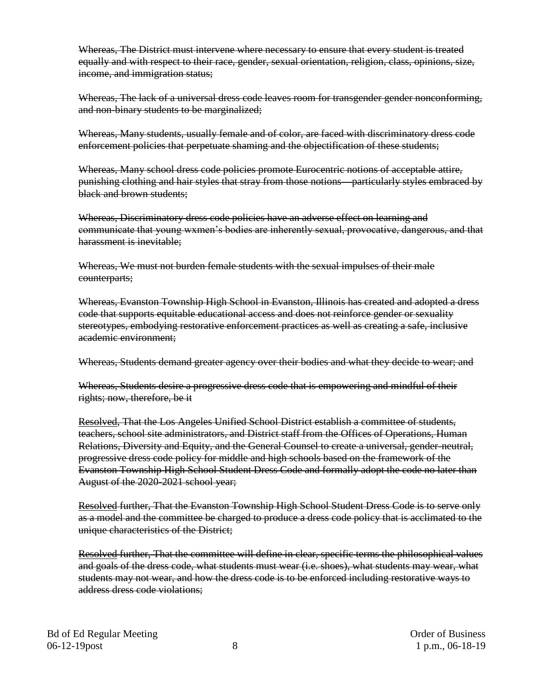Whereas, The District must intervene where necessary to ensure that every student is treated equally and with respect to their race, gender, sexual orientation, religion, class, opinions, size, income, and immigration status;

Whereas, The lack of a universal dress code leaves room for transgender gender nonconforming, and non-binary students to be marginalized;

Whereas, Many students, usually female and of color, are faced with discriminatory dress code enforcement policies that perpetuate shaming and the objectification of these students;

Whereas, Many school dress code policies promote Eurocentric notions of acceptable attire, punishing clothing and hair styles that stray from those notions—particularly styles embraced by black and brown students:

Whereas, Discriminatory dress code policies have an adverse effect on learning and communicate that young wxmen's bodies are inherently sexual, provocative, dangerous, and that harassment is inevitable;

Whereas, We must not burden female students with the sexual impulses of their male counterparts;

Whereas, Evanston Township High School in Evanston, Illinois has created and adopted a dress code that supports equitable educational access and does not reinforce gender or sexuality stereotypes, embodying restorative enforcement practices as well as creating a safe, inclusive academic environment;

Whereas, Students demand greater agency over their bodies and what they decide to wear; and

Whereas, Students desire a progressive dress code that is empowering and mindful of their rights; now, therefore, be it

Resolved, That the Los Angeles Unified School District establish a committee of students, teachers, school site administrators, and District staff from the Offices of Operations, Human Relations, Diversity and Equity, and the General Counsel to create a universal, gender-neutral, progressive dress code policy for middle and high schools based on the framework of the Evanston Township High School Student Dress Code and formally adopt the code no later than August of the 2020-2021 school year;

Resolved further, That the Evanston Township High School Student Dress Code is to serve only as a model and the committee be charged to produce a dress code policy that is acclimated to the unique characteristics of the District;

Resolved further, That the committee will define in clear, specific terms the philosophical values and goals of the dress code, what students must wear (i.e. shoes), what students may wear, what students may not wear, and how the dress code is to be enforced including restorative ways to address dress code violations;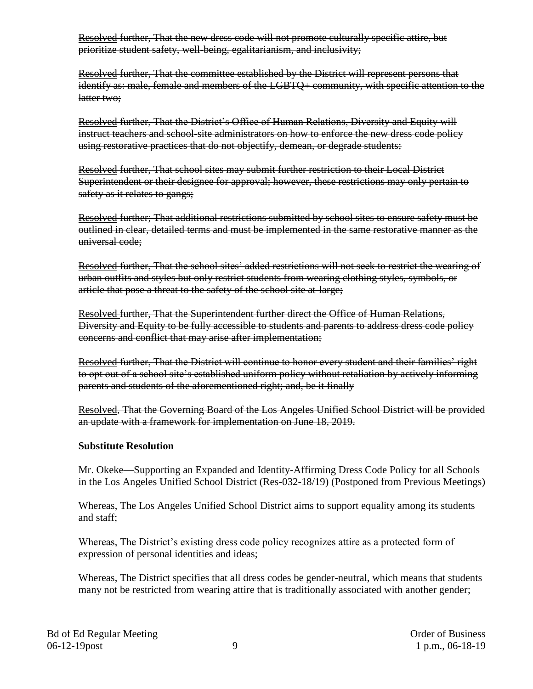Resolved further, That the new dress code will not promote culturally specific attire, but prioritize student safety, well-being, egalitarianism, and inclusivity;

Resolved further, That the committee established by the District will represent persons that identify as: male, female and members of the LGBTQ+ community, with specific attention to the latter two;

Resolved further, That the District's Office of Human Relations, Diversity and Equity will instruct teachers and school-site administrators on how to enforce the new dress code policy using restorative practices that do not objectify, demean, or degrade students;

Resolved further, That school sites may submit further restriction to their Local District Superintendent or their designee for approval; however, these restrictions may only pertain to safety as it relates to gangs;

Resolved further; That additional restrictions submitted by school sites to ensure safety must be outlined in clear, detailed terms and must be implemented in the same restorative manner as the universal code;

Resolved further, That the school sites' added restrictions will not seek to restrict the wearing of urban outfits and styles but only restrict students from wearing clothing styles, symbols, or article that pose a threat to the safety of the school site at-large;

Resolved further, That the Superintendent further direct the Office of Human Relations, Diversity and Equity to be fully accessible to students and parents to address dress code policy concerns and conflict that may arise after implementation;

Resolved further, That the District will continue to honor every student and their families' right to opt out of a school site's established uniform policy without retaliation by actively informing parents and students of the aforementioned right; and, be it finally

Resolved, That the Governing Board of the Los Angeles Unified School District will be provided an update with a framework for implementation on June 18, 2019.

### **Substitute Resolution**

Mr. Okeke—Supporting an Expanded and Identity-Affirming Dress Code Policy for all Schools in the Los Angeles Unified School District (Res-032-18/19) (Postponed from Previous Meetings)

Whereas, The Los Angeles Unified School District aims to support equality among its students and staff;

Whereas, The District's existing dress code policy recognizes attire as a protected form of expression of personal identities and ideas;

Whereas, The District specifies that all dress codes be gender-neutral, which means that students many not be restricted from wearing attire that is traditionally associated with another gender;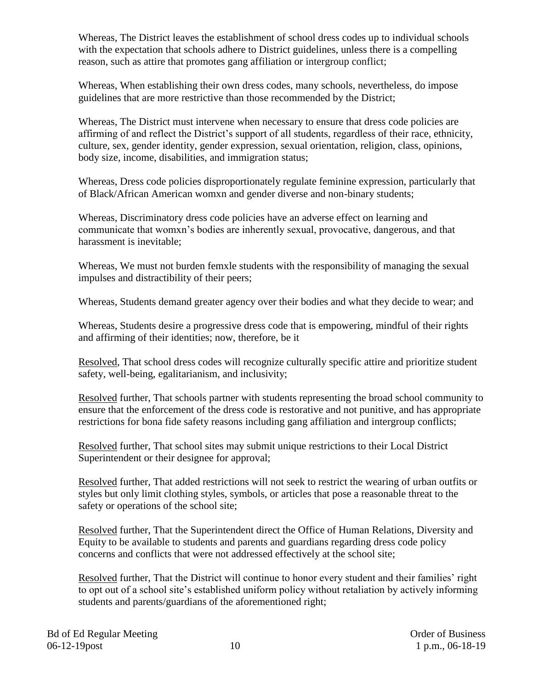Whereas, The District leaves the establishment of school dress codes up to individual schools with the expectation that schools adhere to District guidelines, unless there is a compelling reason, such as attire that promotes gang affiliation or intergroup conflict;

Whereas, When establishing their own dress codes, many schools, nevertheless, do impose guidelines that are more restrictive than those recommended by the District;

Whereas, The District must intervene when necessary to ensure that dress code policies are affirming of and reflect the District's support of all students, regardless of their race, ethnicity, culture, sex, gender identity, gender expression, sexual orientation, religion, class, opinions, body size, income, disabilities, and immigration status;

Whereas, Dress code policies disproportionately regulate feminine expression, particularly that of Black/African American womxn and gender diverse and non-binary students;

Whereas, Discriminatory dress code policies have an adverse effect on learning and communicate that womxn's bodies are inherently sexual, provocative, dangerous, and that harassment is inevitable;

Whereas, We must not burden femxle students with the responsibility of managing the sexual impulses and distractibility of their peers;

Whereas, Students demand greater agency over their bodies and what they decide to wear; and

Whereas, Students desire a progressive dress code that is empowering, mindful of their rights and affirming of their identities; now, therefore, be it

Resolved, That school dress codes will recognize culturally specific attire and prioritize student safety, well-being, egalitarianism, and inclusivity;

Resolved further, That schools partner with students representing the broad school community to ensure that the enforcement of the dress code is restorative and not punitive, and has appropriate restrictions for bona fide safety reasons including gang affiliation and intergroup conflicts;

Resolved further, That school sites may submit unique restrictions to their Local District Superintendent or their designee for approval;

Resolved further, That added restrictions will not seek to restrict the wearing of urban outfits or styles but only limit clothing styles, symbols, or articles that pose a reasonable threat to the safety or operations of the school site;

Resolved further, That the Superintendent direct the Office of Human Relations, Diversity and Equity to be available to students and parents and guardians regarding dress code policy concerns and conflicts that were not addressed effectively at the school site;

Resolved further, That the District will continue to honor every student and their families' right to opt out of a school site's established uniform policy without retaliation by actively informing students and parents/guardians of the aforementioned right;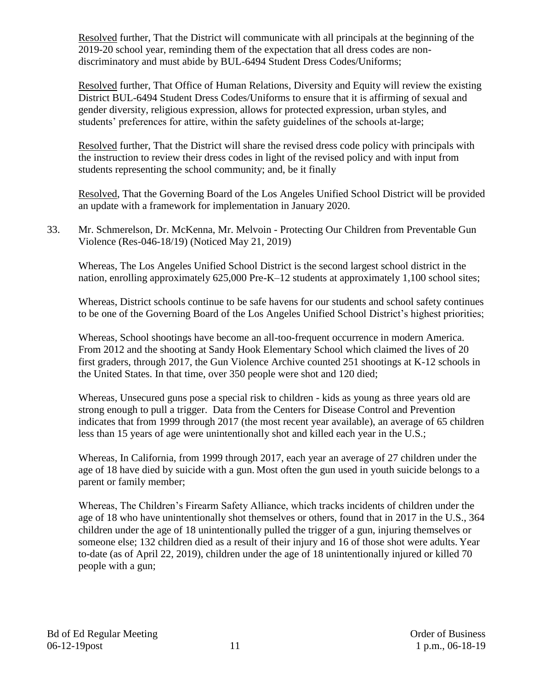Resolved further, That the District will communicate with all principals at the beginning of the 2019-20 school year, reminding them of the expectation that all dress codes are nondiscriminatory and must abide by BUL-6494 Student Dress Codes/Uniforms;

Resolved further, That Office of Human Relations, Diversity and Equity will review the existing District BUL-6494 Student Dress Codes/Uniforms to ensure that it is affirming of sexual and gender diversity, religious expression, allows for protected expression, urban styles, and students' preferences for attire, within the safety guidelines of the schools at-large;

Resolved further, That the District will share the revised dress code policy with principals with the instruction to review their dress codes in light of the revised policy and with input from students representing the school community; and, be it finally

Resolved, That the Governing Board of the Los Angeles Unified School District will be provided an update with a framework for implementation in January 2020.

33. Mr. Schmerelson, Dr. McKenna, Mr. Melvoin - Protecting Our Children from Preventable Gun Violence (Res-046-18/19) (Noticed May 21, 2019)

Whereas, The Los Angeles Unified School District is the second largest school district in the nation, enrolling approximately 625,000 Pre-K–12 students at approximately 1,100 school sites;

Whereas, District schools continue to be safe havens for our students and school safety continues to be one of the Governing Board of the Los Angeles Unified School District's highest priorities;

Whereas, School shootings have become an all-too-frequent occurrence in modern America. From 2012 and the shooting at Sandy Hook Elementary School which claimed the lives of 20 first graders, through 2017, the Gun Violence Archive counted 251 shootings at K-12 schools in the United States. In that time, over 350 people were shot and 120 died;

Whereas, Unsecured guns pose a special risk to children - kids as young as three years old are strong enough to pull a trigger. Data from the Centers for Disease Control and Prevention indicates that from 1999 through 2017 (the most recent year available), an average of 65 children less than 15 years of age were unintentionally shot and killed each year in the U.S.;

Whereas, In California, from 1999 through 2017, each year an average of 27 children under the age of 18 have died by suicide with a gun. Most often the gun used in youth suicide belongs to a parent or family member;

Whereas, The Children's Firearm Safety Alliance, which tracks incidents of children under the age of 18 who have unintentionally shot themselves or others, found that in 2017 in the U.S., 364 children under the age of 18 unintentionally pulled the trigger of a gun, injuring themselves or someone else; 132 children died as a result of their injury and 16 of those shot were adults. Year to-date (as of April 22, 2019), children under the age of 18 unintentionally injured or killed 70 people with a gun;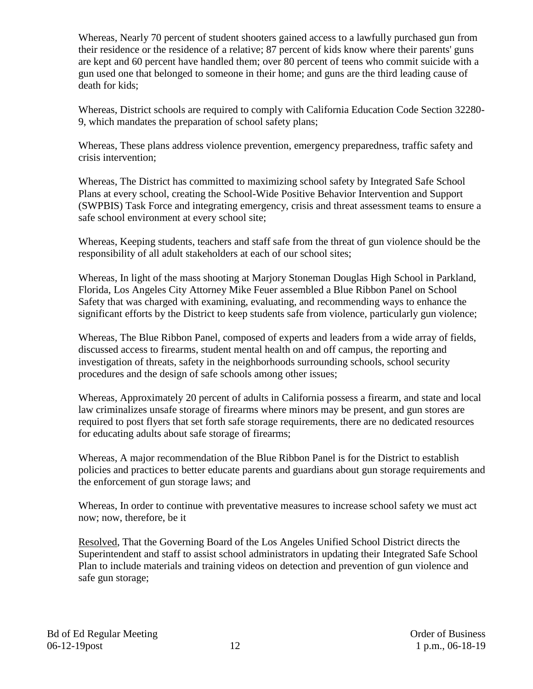Whereas, Nearly 70 percent of student shooters gained access to a lawfully purchased gun from their residence or the residence of a relative; 87 percent of kids know where their parents' guns are kept and 60 percent have handled them; over 80 percent of teens who commit suicide with a gun used one that belonged to someone in their home; and guns are the third leading cause of death for kids;

Whereas, District schools are required to comply with California Education Code Section 32280- 9, which mandates the preparation of school safety plans;

Whereas, These plans address violence prevention, emergency preparedness, traffic safety and crisis intervention;

Whereas, The District has committed to maximizing school safety by Integrated Safe School Plans at every school, creating the School-Wide Positive Behavior Intervention and Support (SWPBIS) Task Force and integrating emergency, crisis and threat assessment teams to ensure a safe school environment at every school site;

Whereas, Keeping students, teachers and staff safe from the threat of gun violence should be the responsibility of all adult stakeholders at each of our school sites;

Whereas, In light of the mass shooting at Marjory Stoneman Douglas High School in Parkland, Florida, Los Angeles City Attorney Mike Feuer assembled a Blue Ribbon Panel on School Safety that was charged with examining, evaluating, and recommending ways to enhance the significant efforts by the District to keep students safe from violence, particularly gun violence;

Whereas, The Blue Ribbon Panel, composed of experts and leaders from a wide array of fields, discussed access to firearms, student mental health on and off campus, the reporting and investigation of threats, safety in the neighborhoods surrounding schools, school security procedures and the design of safe schools among other issues;

Whereas, Approximately 20 percent of adults in California possess a firearm, and state and local law criminalizes unsafe storage of firearms where minors may be present, and gun stores are required to post flyers that set forth safe storage requirements, there are no dedicated resources for educating adults about safe storage of firearms;

Whereas, A major recommendation of the Blue Ribbon Panel is for the District to establish policies and practices to better educate parents and guardians about gun storage requirements and the enforcement of gun storage laws; and

Whereas, In order to continue with preventative measures to increase school safety we must act now; now, therefore, be it

Resolved, That the Governing Board of the Los Angeles Unified School District directs the Superintendent and staff to assist school administrators in updating their Integrated Safe School Plan to include materials and training videos on detection and prevention of gun violence and safe gun storage;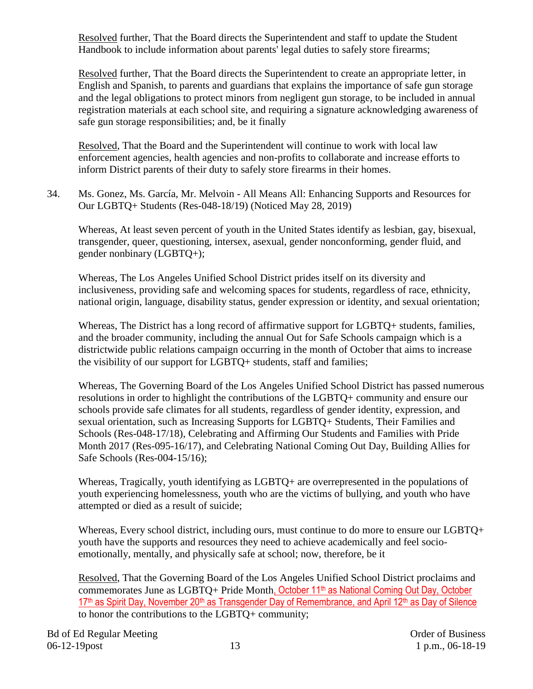Resolved further, That the Board directs the Superintendent and staff to update the Student Handbook to include information about parents' legal duties to safely store firearms;

Resolved further, That the Board directs the Superintendent to create an appropriate letter, in English and Spanish, to parents and guardians that explains the importance of safe gun storage and the legal obligations to protect minors from negligent gun storage, to be included in annual registration materials at each school site, and requiring a signature acknowledging awareness of safe gun storage responsibilities; and, be it finally

Resolved, That the Board and the Superintendent will continue to work with local law enforcement agencies, health agencies and non-profits to collaborate and increase efforts to inform District parents of their duty to safely store firearms in their homes.

34. Ms. Gonez, Ms. García, Mr. Melvoin - All Means All: Enhancing Supports and Resources for Our LGBTQ+ Students (Res-048-18/19) (Noticed May 28, 2019)

Whereas, At least seven percent of youth in the United States identify as lesbian, gay, bisexual, transgender, queer, questioning, intersex, asexual, gender nonconforming, gender fluid, and gender nonbinary (LGBTQ+);

Whereas, The Los Angeles Unified School District prides itself on its diversity and inclusiveness, providing safe and welcoming spaces for students, regardless of race, ethnicity, national origin, language, disability status, gender expression or identity, and sexual orientation;

Whereas, The District has a long record of affirmative support for LGBTQ+ students, families, and the broader community, including the annual Out for Safe Schools campaign which is a districtwide public relations campaign occurring in the month of October that aims to increase the visibility of our support for LGBTQ+ students, staff and families;

Whereas, The Governing Board of the Los Angeles Unified School District has passed numerous resolutions in order to highlight the contributions of the LGBTQ+ community and ensure our schools provide safe climates for all students, regardless of gender identity, expression, and sexual orientation, such as Increasing Supports for LGBTQ+ Students, Their Families and Schools (Res-048-17/18), Celebrating and Affirming Our Students and Families with Pride Month 2017 (Res-095-16/17), and Celebrating National Coming Out Day, Building Allies for Safe Schools (Res-004-15/16);

Whereas, Tragically, youth identifying as LGBTQ+ are overrepresented in the populations of youth experiencing homelessness, youth who are the victims of bullying, and youth who have attempted or died as a result of suicide;

Whereas, Every school district, including ours, must continue to do more to ensure our LGBTO+ youth have the supports and resources they need to achieve academically and feel socioemotionally, mentally, and physically safe at school; now, therefore, be it

Resolved, That the Governing Board of the Los Angeles Unified School District proclaims and commemorates June as LGBTO+ Pride Month, October 11<sup>th</sup> as National Coming Out Day, October  $17<sup>th</sup>$  as Spirit Day, November 20<sup>th</sup> as Transgender Day of Remembrance, and April 12<sup>th</sup> as Day of Silence to honor the contributions to the LGBTQ+ community;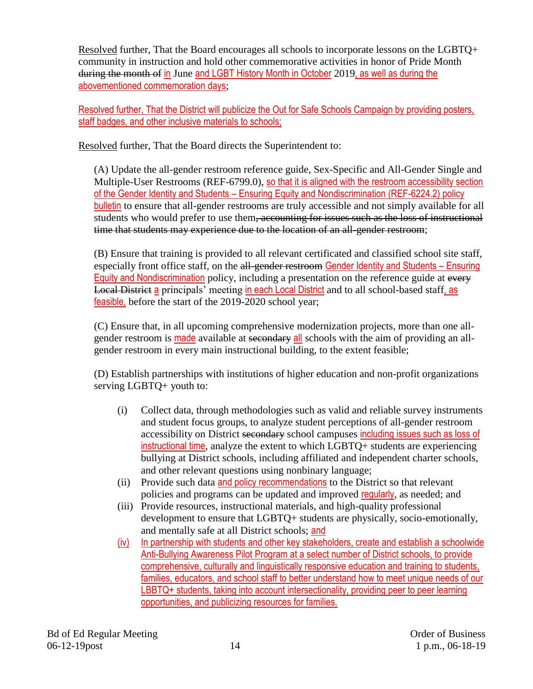Resolved further, That the Board encourages all schools to incorporate lessons on the LGBTQ+ community in instruction and hold other commemorative activities in honor of Pride Month during the month of in June and LGBT History Month in October 2019, as well as during the abovementioned commemoration days;

Resolved further, That the District will publicize the Out for Safe Schools Campaign by providing posters, staff badges, and other inclusive materials to schools;

Resolved further, That the Board directs the Superintendent to:

(A) Update the all-gender restroom reference guide, Sex-Specific and All-Gender Single and Multiple-User Restrooms (REF-6799.0), so that it is aligned with the restroom accessibility section of the Gender Identity and Students – Ensuring Equity and Nondiscrimination (REF-6224.2) policy bulletin to ensure that all-gender restrooms are truly accessible and not simply available for all students who would prefer to use them, accounting for issues such as the loss of instructional time that students may experience due to the location of an all-gender restroom;

(B) Ensure that training is provided to all relevant certificated and classified school site staff, especially front office staff, on the all-gender restroom Gender Identity and Students – Ensuring Equity and Nondiscrimination policy, including a presentation on the reference guide at every Local District a principals' meeting in each Local District and to all school-based staff, as feasible, before the start of the 2019-2020 school year;

(C) Ensure that, in all upcoming comprehensive modernization projects, more than one allgender restroom is made available at secondary all schools with the aim of providing an allgender restroom in every main instructional building, to the extent feasible;

(D) Establish partnerships with institutions of higher education and non-profit organizations serving LGBTQ+ youth to:

- (i) Collect data, through methodologies such as valid and reliable survey instruments and student focus groups, to analyze student perceptions of all-gender restroom accessibility on District secondary school campuses including issues such as loss of instructional time, analyze the extent to which LGBTQ+ students are experiencing bullying at District schools, including affiliated and independent charter schools, and other relevant questions using nonbinary language;
- (ii) Provide such data and policy recommendations to the District so that relevant policies and programs can be updated and improved regularly, as needed; and
- (iii) Provide resources, instructional materials, and high-quality professional development to ensure that LGBTQ+ students are physically, socio-emotionally, and mentally safe at all District schools; and
- (iv) In partnership with students and other key stakeholders, create and establish a schoolwide Anti-Bullying Awareness Pilot Program at a select number of District schools, to provide comprehensive, culturally and linguistically responsive education and training to students, families, educators, and school staff to better understand how to meet unique needs of our LBBTQ+ students, taking into account intersectionality, providing peer to peer learning opportunities, and publicizing resources for families.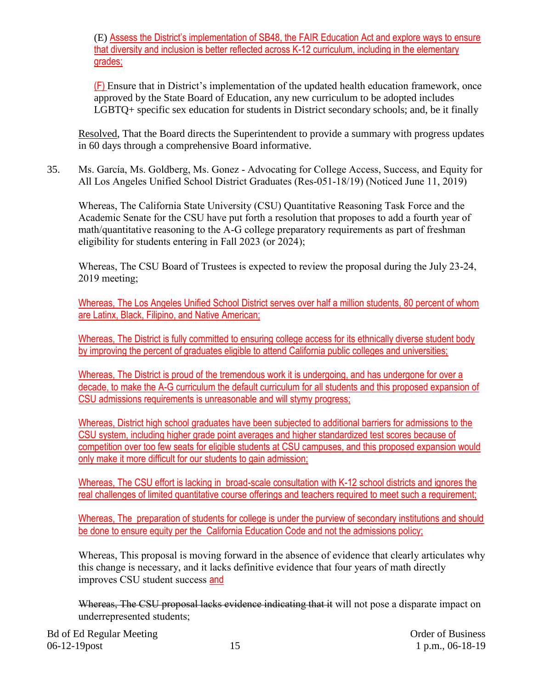(E) Assess the District's implementation of SB48, the FAIR Education Act and explore ways to ensure that diversity and inclusion is better reflected across K-12 curriculum, including in the elementary grades;

(F) Ensure that in District's implementation of the updated health education framework, once approved by the State Board of Education, any new curriculum to be adopted includes LGBTQ+ specific sex education for students in District secondary schools; and, be it finally

Resolved, That the Board directs the Superintendent to provide a summary with progress updates in 60 days through a comprehensive Board informative.

35. Ms. García, Ms. Goldberg, Ms. Gonez - Advocating for College Access, Success, and Equity for All Los Angeles Unified School District Graduates (Res-051-18/19) (Noticed June 11, 2019)

Whereas, The California State University (CSU) Quantitative Reasoning Task Force and the Academic Senate for the CSU have put forth a resolution that proposes to add a fourth year of math/quantitative reasoning to the A-G college preparatory requirements as part of freshman eligibility for students entering in Fall 2023 (or 2024);

Whereas, The CSU Board of Trustees is expected to review the proposal during the July 23-24, 2019 meeting;

Whereas, The Los Angeles Unified School District serves over half a million students, 80 percent of whom are Latinx, Black, Filipino, and Native American;

Whereas, The District is fully committed to ensuring college access for its ethnically diverse student body by improving the percent of graduates eligible to attend California public colleges and universities;

Whereas, The District is proud of the tremendous work it is undergoing, and has undergone for over a decade, to make the A-G curriculum the default curriculum for all students and this proposed expansion of CSU admissions requirements is unreasonable and will stymy progress;

Whereas, District high school graduates have been subjected to additional barriers for admissions to the CSU system, including higher grade point averages and higher standardized test scores because of competition over too few seats for eligible students at CSU campuses, and this proposed expansion would only make it more difficult for our students to gain admission;

Whereas, The CSU effort is lacking in broad-scale consultation with K-12 school districts and ignores the real challenges of limited quantitative course offerings and teachers required to meet such a requirement;

Whereas, The preparation of students for college is under the purview of secondary institutions and should be done to ensure equity per the California Education Code and not the admissions policy;

Whereas, This proposal is moving forward in the absence of evidence that clearly articulates why this change is necessary, and it lacks definitive evidence that four years of math directly improves CSU student success and

Whereas, The CSU proposal lacks evidence indicating that it will not pose a disparate impact on underrepresented students;

Bd of Ed Regular Meeting **Dragular** Meeting **Order of Business** Order of Business 06-12-19 post 15 1 p.m., 06-18-19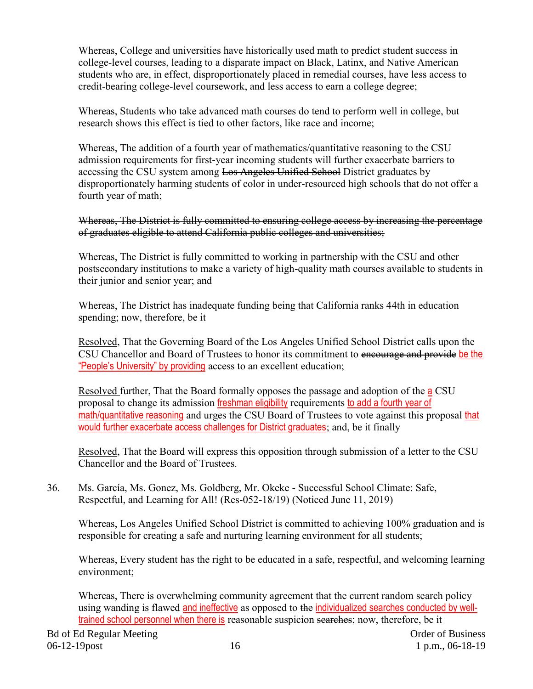Whereas, College and universities have historically used math to predict student success in college-level courses, leading to a disparate impact on Black, Latinx, and Native American students who are, in effect, disproportionately placed in remedial courses, have less access to credit-bearing college-level coursework, and less access to earn a college degree;

Whereas, Students who take advanced math courses do tend to perform well in college, but research shows this effect is tied to other factors, like race and income;

Whereas, The addition of a fourth year of mathematics/quantitative reasoning to the CSU admission requirements for first-year incoming students will further exacerbate barriers to accessing the CSU system among Los Angeles Unified School District graduates by disproportionately harming students of color in under-resourced high schools that do not offer a fourth year of math;

Whereas, The District is fully committed to ensuring college access by increasing the percentage of graduates eligible to attend California public colleges and universities;

Whereas, The District is fully committed to working in partnership with the CSU and other postsecondary institutions to make a variety of high-quality math courses available to students in their junior and senior year; and

Whereas, The District has inadequate funding being that California ranks 44th in education spending; now, therefore, be it

Resolved, That the Governing Board of the Los Angeles Unified School District calls upon the CSU Chancellor and Board of Trustees to honor its commitment to encourage and provide be the "People's University" by providing access to an excellent education;

Resolved further, That the Board formally opposes the passage and adoption of the a CSU proposal to change its admission freshman eligibility requirements to add a fourth year of math/quantitative reasoning and urges the CSU Board of Trustees to vote against this proposal that would further exacerbate access challenges for District graduates; and, be it finally

Resolved, That the Board will express this opposition through submission of a letter to the CSU Chancellor and the Board of Trustees.

36. Ms. García, Ms. Gonez, Ms. Goldberg, Mr. Okeke - Successful School Climate: Safe, Respectful, and Learning for All! (Res-052-18/19) (Noticed June 11, 2019)

Whereas, Los Angeles Unified School District is committed to achieving 100% graduation and is responsible for creating a safe and nurturing learning environment for all students;

Whereas, Every student has the right to be educated in a safe, respectful, and welcoming learning environment;

Whereas, There is overwhelming community agreement that the current random search policy using wanding is flawed and ineffective as opposed to the individualized searches conducted by welltrained school personnel when there is reasonable suspicion searches; now, therefore, be it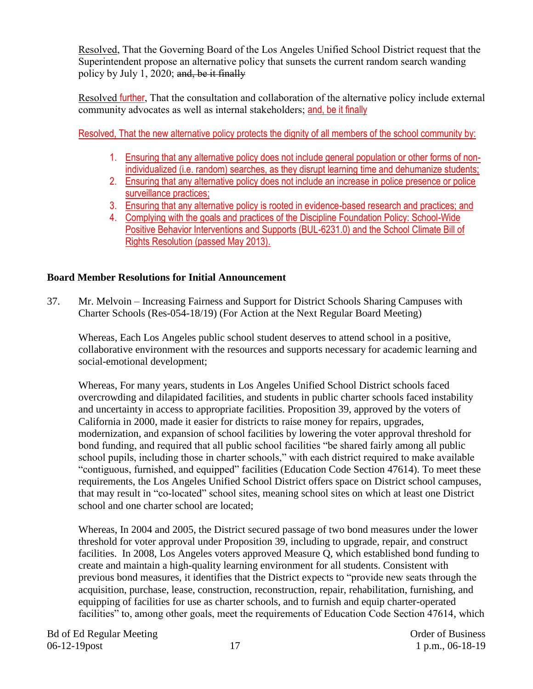Resolved, That the Governing Board of the Los Angeles Unified School District request that the Superintendent propose an alternative policy that sunsets the current random search wanding policy by July 1, 2020; and, be it finally

Resolved further, That the consultation and collaboration of the alternative policy include external community advocates as well as internal stakeholders; and, be it finally

Resolved, That the new alternative policy protects the dignity of all members of the school community by:

- 1. Ensuring that any alternative policy does not include general population or other forms of nonindividualized (i.e. random) searches, as they disrupt learning time and dehumanize students;
- 2. Ensuring that any alternative policy does not include an increase in police presence or police surveillance practices;
- 3. Ensuring that any alternative policy is rooted in evidence-based research and practices; and
- 4. Complying with the goals and practices of the Discipline Foundation Policy: School-Wide Positive Behavior Interventions and Supports (BUL-6231.0) and the School Climate Bill of Rights Resolution (passed May 2013).

# **Board Member Resolutions for Initial Announcement**

37. Mr. Melvoin – Increasing Fairness and Support for District Schools Sharing Campuses with Charter Schools (Res-054-18/19) (For Action at the Next Regular Board Meeting)

Whereas, Each Los Angeles public school student deserves to attend school in a positive, collaborative environment with the resources and supports necessary for academic learning and social-emotional development;

Whereas, For many years, students in Los Angeles Unified School District schools faced overcrowding and dilapidated facilities, and students in public charter schools faced instability and uncertainty in access to appropriate facilities. Proposition 39, approved by the voters of California in 2000, made it easier for districts to raise money for repairs, upgrades, modernization, and expansion of school facilities by lowering the voter approval threshold for bond funding, and required that all public school facilities "be shared fairly among all public school pupils, including those in charter schools," with each district required to make available "contiguous, furnished, and equipped" facilities (Education Code Section 47614). To meet these requirements, the Los Angeles Unified School District offers space on District school campuses, that may result in "co-located" school sites, meaning school sites on which at least one District school and one charter school are located;

Whereas, In 2004 and 2005, the District secured passage of two bond measures under the lower threshold for voter approval under Proposition 39, including to upgrade, repair, and construct facilities. In 2008, Los Angeles voters approved Measure Q, which established bond funding to create and maintain a high-quality learning environment for all students. Consistent with previous bond measures, it identifies that the District expects to "provide new seats through the acquisition, purchase, lease, construction, reconstruction, repair, rehabilitation, furnishing, and equipping of facilities for use as charter schools, and to furnish and equip charter-operated facilities" to, among other goals, meet the requirements of Education Code Section 47614, which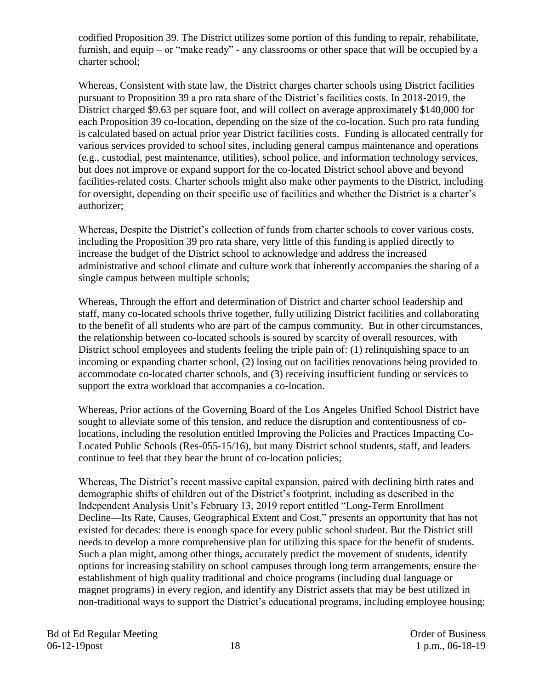codified Proposition 39. The District utilizes some portion of this funding to repair, rehabilitate, furnish, and equip – or "make ready" - any classrooms or other space that will be occupied by a charter school;

Whereas, Consistent with state law, the District charges charter schools using District facilities pursuant to Proposition 39 a pro rata share of the District's facilities costs. In 2018-2019, the District charged \$9.63 per square foot, and will collect on average approximately \$140,000 for each Proposition 39 co-location, depending on the size of the co-location. Such pro rata funding is calculated based on actual prior year District facilities costs. Funding is allocated centrally for various services provided to school sites, including general campus maintenance and operations (e.g., custodial, pest maintenance, utilities), school police, and information technology services, but does not improve or expand support for the co-located District school above and beyond facilities-related costs. Charter schools might also make other payments to the District, including for oversight, depending on their specific use of facilities and whether the District is a charter's authorizer;

Whereas, Despite the District's collection of funds from charter schools to cover various costs, including the Proposition 39 pro rata share, very little of this funding is applied directly to increase the budget of the District school to acknowledge and address the increased administrative and school climate and culture work that inherently accompanies the sharing of a single campus between multiple schools;

Whereas, Through the effort and determination of District and charter school leadership and staff, many co-located schools thrive together, fully utilizing District facilities and collaborating to the benefit of all students who are part of the campus community. But in other circumstances, the relationship between co-located schools is soured by scarcity of overall resources, with District school employees and students feeling the triple pain of: (1) relinquishing space to an incoming or expanding charter school, (2) losing out on facilities renovations being provided to accommodate co-located charter schools, and (3) receiving insufficient funding or services to support the extra workload that accompanies a co-location.

Whereas, Prior actions of the Governing Board of the Los Angeles Unified School District have sought to alleviate some of this tension, and reduce the disruption and contentiousness of colocations, including the resolution entitled Improving the Policies and Practices Impacting Co-Located Public Schools (Res-055-15/16), but many District school students, staff, and leaders continue to feel that they bear the brunt of co-location policies;

Whereas, The District's recent massive capital expansion, paired with declining birth rates and demographic shifts of children out of the District's footprint, including as described in the Independent Analysis Unit's February 13, 2019 report entitled "Long-Term Enrollment Decline—Its Rate, Causes, Geographical Extent and Cost," presents an opportunity that has not existed for decades: there is enough space for every public school student. But the District still needs to develop a more comprehensive plan for utilizing this space for the benefit of students. Such a plan might, among other things, accurately predict the movement of students, identify options for increasing stability on school campuses through long term arrangements, ensure the establishment of high quality traditional and choice programs (including dual language or magnet programs) in every region, and identify any District assets that may be best utilized in non-traditional ways to support the District's educational programs, including employee housing;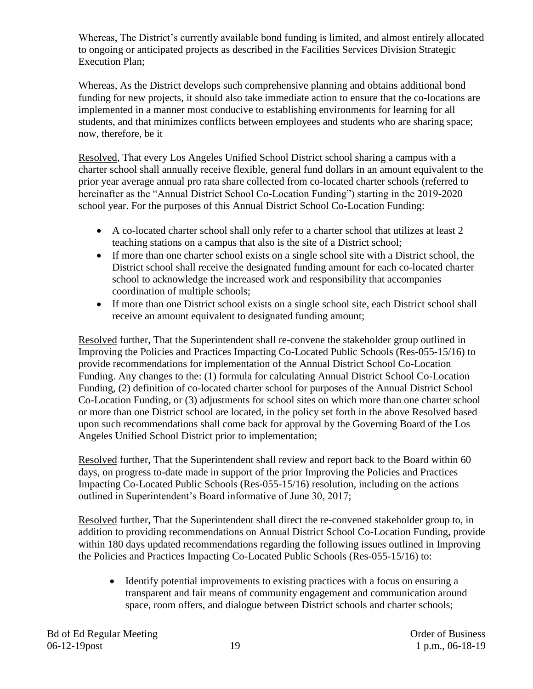Whereas, The District's currently available bond funding is limited, and almost entirely allocated to ongoing or anticipated projects as described in the Facilities Services Division Strategic Execution Plan;

Whereas, As the District develops such comprehensive planning and obtains additional bond funding for new projects, it should also take immediate action to ensure that the co-locations are implemented in a manner most conducive to establishing environments for learning for all students, and that minimizes conflicts between employees and students who are sharing space; now, therefore, be it

Resolved, That every Los Angeles Unified School District school sharing a campus with a charter school shall annually receive flexible, general fund dollars in an amount equivalent to the prior year average annual pro rata share collected from co-located charter schools (referred to hereinafter as the "Annual District School Co-Location Funding") starting in the 2019-2020 school year. For the purposes of this Annual District School Co-Location Funding:

- A co-located charter school shall only refer to a charter school that utilizes at least 2 teaching stations on a campus that also is the site of a District school;
- If more than one charter school exists on a single school site with a District school, the District school shall receive the designated funding amount for each co-located charter school to acknowledge the increased work and responsibility that accompanies coordination of multiple schools;
- If more than one District school exists on a single school site, each District school shall receive an amount equivalent to designated funding amount;

Resolved further, That the Superintendent shall re-convene the stakeholder group outlined in Improving the Policies and Practices Impacting Co-Located Public Schools (Res-055-15/16) to provide recommendations for implementation of the Annual District School Co-Location Funding. Any changes to the: (1) formula for calculating Annual District School Co-Location Funding, (2) definition of co-located charter school for purposes of the Annual District School Co-Location Funding, or (3) adjustments for school sites on which more than one charter school or more than one District school are located, in the policy set forth in the above Resolved based upon such recommendations shall come back for approval by the Governing Board of the Los Angeles Unified School District prior to implementation;

Resolved further, That the Superintendent shall review and report back to the Board within 60 days, on progress to-date made in support of the prior Improving the Policies and Practices Impacting Co-Located Public Schools (Res-055-15/16) resolution, including on the actions outlined in Superintendent's Board informative of June 30, 2017;

Resolved further, That the Superintendent shall direct the re-convened stakeholder group to, in addition to providing recommendations on Annual District School Co-Location Funding, provide within 180 days updated recommendations regarding the following issues outlined in Improving the Policies and Practices Impacting Co-Located Public Schools (Res-055-15/16) to:

• Identify potential improvements to existing practices with a focus on ensuring a transparent and fair means of community engagement and communication around space, room offers, and dialogue between District schools and charter schools;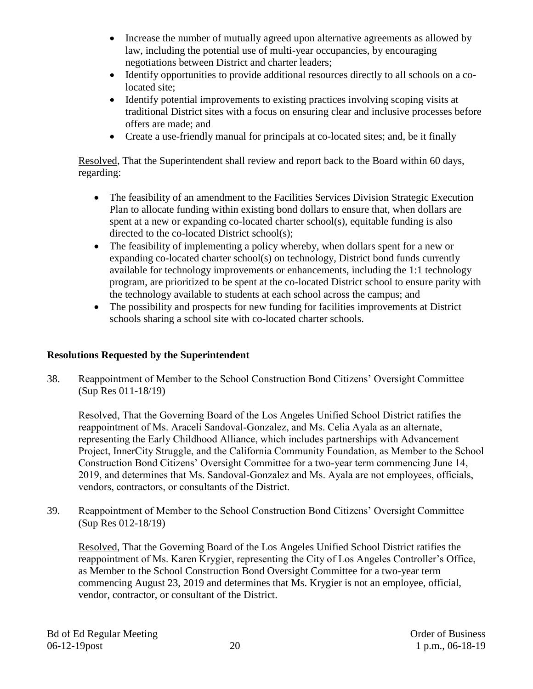- Increase the number of mutually agreed upon alternative agreements as allowed by law, including the potential use of multi-year occupancies, by encouraging negotiations between District and charter leaders;
- Identify opportunities to provide additional resources directly to all schools on a colocated site;
- Identify potential improvements to existing practices involving scoping visits at traditional District sites with a focus on ensuring clear and inclusive processes before offers are made; and
- Create a use-friendly manual for principals at co-located sites; and, be it finally

Resolved, That the Superintendent shall review and report back to the Board within 60 days, regarding:

- The feasibility of an amendment to the Facilities Services Division Strategic Execution Plan to allocate funding within existing bond dollars to ensure that, when dollars are spent at a new or expanding co-located charter school(s), equitable funding is also directed to the co-located District school(s);
- The feasibility of implementing a policy whereby, when dollars spent for a new or expanding co-located charter school(s) on technology, District bond funds currently available for technology improvements or enhancements, including the 1:1 technology program, are prioritized to be spent at the co-located District school to ensure parity with the technology available to students at each school across the campus; and
- The possibility and prospects for new funding for facilities improvements at District schools sharing a school site with co-located charter schools.

# **Resolutions Requested by the Superintendent**

38. Reappointment of Member to the School Construction Bond Citizens' Oversight Committee (Sup Res 011-18/19)

Resolved, That the Governing Board of the Los Angeles Unified School District ratifies the reappointment of Ms. Araceli Sandoval-Gonzalez, and Ms. Celia Ayala as an alternate, representing the Early Childhood Alliance, which includes partnerships with Advancement Project, InnerCity Struggle, and the California Community Foundation, as Member to the School Construction Bond Citizens' Oversight Committee for a two-year term commencing June 14, 2019, and determines that Ms. Sandoval-Gonzalez and Ms. Ayala are not employees, officials, vendors, contractors, or consultants of the District.

39. Reappointment of Member to the School Construction Bond Citizens' Oversight Committee (Sup Res 012-18/19)

Resolved, That the Governing Board of the Los Angeles Unified School District ratifies the reappointment of Ms. Karen Krygier, representing the City of Los Angeles Controller's Office, as Member to the School Construction Bond Oversight Committee for a two-year term commencing August 23, 2019 and determines that Ms. Krygier is not an employee, official, vendor, contractor, or consultant of the District.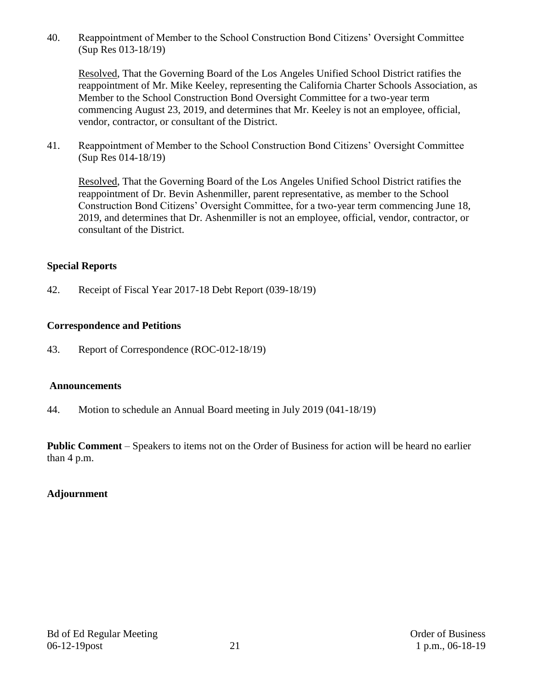40. Reappointment of Member to the School Construction Bond Citizens' Oversight Committee (Sup Res 013-18/19)

Resolved, That the Governing Board of the Los Angeles Unified School District ratifies the reappointment of Mr. Mike Keeley, representing the California Charter Schools Association, as Member to the School Construction Bond Oversight Committee for a two-year term commencing August 23, 2019, and determines that Mr. Keeley is not an employee, official, vendor, contractor, or consultant of the District.

41. Reappointment of Member to the School Construction Bond Citizens' Oversight Committee (Sup Res 014-18/19)

Resolved, That the Governing Board of the Los Angeles Unified School District ratifies the reappointment of Dr. Bevin Ashenmiller, parent representative, as member to the School Construction Bond Citizens' Oversight Committee, for a two-year term commencing June 18, 2019, and determines that Dr. Ashenmiller is not an employee, official, vendor, contractor, or consultant of the District.

## **Special Reports**

42. Receipt of Fiscal Year 2017-18 Debt Report (039-18/19)

# **Correspondence and Petitions**

43. Report of Correspondence (ROC-012-18/19)

### **Announcements**

44. Motion to schedule an Annual Board meeting in July 2019 (041-18/19)

**Public Comment** – Speakers to items not on the Order of Business for action will be heard no earlier than 4 p.m.

# **Adjournment**